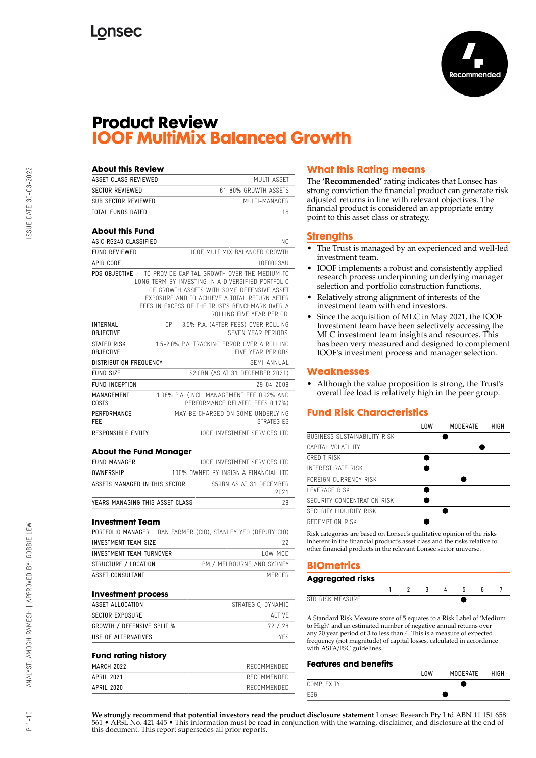

## **Product Review IOOF MultiMix Balanced Growth**

| <b>About this Review</b>            |                                                                                                                                                                                                                                                                                |                   |
|-------------------------------------|--------------------------------------------------------------------------------------------------------------------------------------------------------------------------------------------------------------------------------------------------------------------------------|-------------------|
| ASSET CLASS REVIEWED                |                                                                                                                                                                                                                                                                                | MUITI-ASSFT       |
| <b>SECTOR REVIEWED</b>              | 61-80% GROWTH ASSETS                                                                                                                                                                                                                                                           |                   |
| SUB SECTOR REVIEWED                 | MUITI-MANAGER                                                                                                                                                                                                                                                                  |                   |
| TOTAL FUNDS RATED                   |                                                                                                                                                                                                                                                                                | 16                |
| <b>About this Fund</b>              |                                                                                                                                                                                                                                                                                |                   |
| ASIC RG240 CLASSIFIED               |                                                                                                                                                                                                                                                                                | N <sub>0</sub>    |
| <b>FUND REVIEWED</b>                | TOOF MULTIMIX BALANCED GROWTH                                                                                                                                                                                                                                                  |                   |
| APIR CODE                           |                                                                                                                                                                                                                                                                                | IOF0093AU         |
| PDS OBJECTIVE                       | TO PROVIDE CAPITAL GROWTH OVER THE MEDIUM TO<br>LONG-TERM BY INVESTING IN A DIVERSIFIED PORTEOLIO<br>OF GROWTH ASSFTS WITH SOME DEFENSIVE ASSET<br>FXPOSURF AND TO ACHIEVE A TOTAL RETURN AFTER<br>FFFS IN EXCESS OF THE TRUST'S BENCHMARK OVER A<br>ROLLING FIVE YEAR PERIOD. |                   |
| <b>INTERNAL</b><br><b>OBJECTIVE</b> | CPI + 3.5% P.A. (AFTER FEES) OVER ROLLING<br>SEVEN YEAR PERIODS                                                                                                                                                                                                                |                   |
| STATED RISK<br><b>OBJECTIVE</b>     | 1.5-2.0% P.A. TRACKING FRROR OVER A ROLLING<br><b>FIVE YEAR PERIODS</b>                                                                                                                                                                                                        |                   |
| <b>DISTRIBUTION FREQUENCY</b>       | SFMI-ANNUAL                                                                                                                                                                                                                                                                    |                   |
| <b>FUND SIZE</b>                    | \$2.0BN (AS AT 31 DECEMBER 2021)                                                                                                                                                                                                                                               |                   |
| <b>FUND INCEPTION</b>               |                                                                                                                                                                                                                                                                                | 29-04-2008        |
| MANAGEMENT<br>COSTS                 | 1.08% P.A. (INCL. MANAGEMENT FEE 0.92% AND<br>PERFORMANCE RELATED FFFS 0.17%)                                                                                                                                                                                                  |                   |
| PERFORMANCE<br>FEE                  | MAY BE CHARGED ON SOME UNDERLYING                                                                                                                                                                                                                                              | <b>STRATFGIFS</b> |
| RESPONSIBLE ENTITY                  | <b>IOOF INVESTMENT SERVICES ITD</b>                                                                                                                                                                                                                                            |                   |

#### **About the Fund Manager**

| FUND MANAGER                    | <b>IOOF INVESTMENT SERVICES LTD</b>  |      |
|---------------------------------|--------------------------------------|------|
| <b>OWNERSHIP</b>                | 100% OWNED BY INSIGNIA FINANCIAL LTD |      |
| ASSETS MANAGED IN THIS SECTOR   | \$59BN AS AT 31 DECEMBER             | 2021 |
| YEARS MANAGING THIS ASSET CLASS |                                      |      |

#### **Investment Team**

| DAN FARMER (CIO), STANLEY YEO (DEPUTY CIO)                                                    |
|-----------------------------------------------------------------------------------------------|
| -22                                                                                           |
| $10W-M0D$                                                                                     |
| PM / MELBOURNE AND SYDNEY                                                                     |
| MERCER                                                                                        |
| PORTFOLIO MANAGER<br>INVESTMENT TEAM SIZE<br>INVESTMENT TEAM TURNOVER<br>STRUCTURE / LOCATION |

#### **Investment process**

| ASSET ALLOCATION                  | STRATEGIC, DYNAMIC |
|-----------------------------------|--------------------|
| SECTOR EXPOSURE                   | ACTIVE             |
| <b>GROWTH / DEFENSIVE SPLIT %</b> | 72 / 28            |
| USE OF ALTERNATIVES               | YFS.               |

#### **Fund rating history**

| RECOMMENDED |
|-------------|
| RECOMMENDED |
| RECOMMENDED |
|             |

## **What this Rating means**

The **'Recommended'** rating indicates that Lonsec has strong conviction the financial product can generate risk adjusted returns in line with relevant objectives. The financial product is considered an appropriate entry point to this asset class or strategy.

#### **Strengths**

- The Trust is managed by an experienced and well-led investment team.
- IOOF implements a robust and consistently applied research process underpinning underlying manager selection and portfolio construction functions.
- Relatively strong alignment of interests of the investment team with end investors.
- Since the acquisition of MLC in May 2021, the IOOF Investment team have been selectively accessing the MLC investment team insights and resources. This has been very measured and designed to complement IOOF's investment process and manager selection.

#### **Weaknesses**

• Although the value proposition is strong, the Trust's overall fee load is relatively high in the peer group.

#### **Fund Risk Characteristics**

|                                     | LOW | <b>MODERATE</b> | HIGH |
|-------------------------------------|-----|-----------------|------|
| <b>BUSINESS SUSTAINABILITY RISK</b> |     |                 |      |
| CAPITAL VOLATILITY                  |     |                 |      |
| CREDIT RISK                         |     |                 |      |
| INTEREST RATE RISK                  |     |                 |      |
| FORFIGN CURRENCY RISK               |     |                 |      |
| I FVFRAGF RISK                      |     |                 |      |
| SECURITY CONCENTRATION RISK         |     |                 |      |
| SECURITY LIQUIDITY RISK             |     |                 |      |
| REDEMPTION RISK                     |     |                 |      |
|                                     |     |                 |      |

Risk categories are based on Lonsec's qualitative opinion of the risks inherent in the financial product's asset class and the risks relative to other financial products in the relevant Lonsec sector universe.

### **BIOmetrics**

| <b>Aggregated risks</b> |  |  |  |  |
|-------------------------|--|--|--|--|
|                         |  |  |  |  |
| STD RISK MFASURF        |  |  |  |  |

A Standard Risk Measure score of 5 equates to a Risk Label of 'Medium to High' and an estimated number of negative annual returns over any 20 year period of 3 to less than 4. This is a measure of expected frequency (not magnitude) of capital losses, calculated in accordance with ASFA/FSC guidelines.

#### **Features and benefits**

|            | 0 <sub>W</sub> | <b>MODERATE</b> | <b>HIGH</b> |
|------------|----------------|-----------------|-------------|
| COMPLEXITY |                |                 |             |
| ESG        |                |                 |             |

**We strongly recommend that potential investors read the product disclosure statement** Lonsec Research Pty Ltd ABN 11 151 658 561 • AFSL No. 421 445 • This information must be read in conjunction with the warning, disclaimer, and disclosure at the end of this document. This report supersedes all prior reports.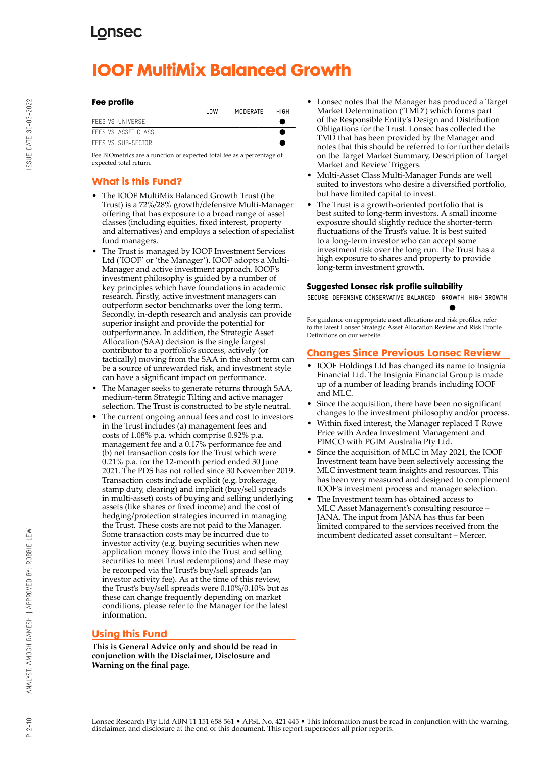# **IOOF MultiMix Balanced Growth**

#### **Fee profile**

|                      | l OW | MODERATE | HIGH |
|----------------------|------|----------|------|
| FFFS VS. UNIVERSE    |      |          |      |
| FFFS VS. ASSFT CLASS |      |          |      |
| FFFS VS. SUB-SFCTOR  |      |          |      |

Fee BIOmetrics are a function of expected total fee as a percentage of expected total return.

## **What is this Fund?**

- The IOOF MultiMix Balanced Growth Trust (the Trust) is a 72%/28% growth/defensive Multi-Manager offering that has exposure to a broad range of asset classes (including equities, fixed interest, property and alternatives) and employs a selection of specialist fund managers.
- The Trust is managed by IOOF Investment Services Ltd ('IOOF' or 'the Manager'). IOOF adopts a Multi-Manager and active investment approach. IOOF's investment philosophy is guided by a number of key principles which have foundations in academic research. Firstly, active investment managers can outperform sector benchmarks over the long term. Secondly, in-depth research and analysis can provide superior insight and provide the potential for outperformance. In addition, the Strategic Asset Allocation (SAA) decision is the single largest contributor to a portfolio's success, actively (or tactically) moving from the SAA in the short term can be a source of unrewarded risk, and investment style can have a significant impact on performance.
- The Manager seeks to generate returns through SAA, medium-term Strategic Tilting and active manager selection. The Trust is constructed to be style neutral.
- The current ongoing annual fees and cost to investors in the Trust includes (a) management fees and costs of 1.08% p.a. which comprise 0.92% p.a. management fee and a 0.17% performance fee and (b) net transaction costs for the Trust which were 0.21% p.a. for the 12-month period ended 30 June 2021. The PDS has not rolled since 30 November 2019. Transaction costs include explicit (e.g. brokerage, stamp duty, clearing) and implicit (buy/sell spreads in multi-asset) costs of buying and selling underlying assets (like shares or fixed income) and the cost of hedging/protection strategies incurred in managing the Trust. These costs are not paid to the Manager. Some transaction costs may be incurred due to investor activity (e.g. buying securities when new application money flows into the Trust and selling securities to meet Trust redemptions) and these may be recouped via the Trust's buy/sell spreads (an investor activity fee). As at the time of this review, the Trust's buy/sell spreads were 0.10%/0.10% but as these can change frequently depending on market conditions, please refer to the Manager for the latest information.

## **Using this Fund**

**This is General Advice only and should be read in conjunction with the Disclaimer, Disclosure and Warning on the final page.**

- Lonsec notes that the Manager has produced a Target Market Determination ('TMD') which forms part of the Responsible Entity's Design and Distribution Obligations for the Trust. Lonsec has collected the TMD that has been provided by the Manager and notes that this should be referred to for further details on the Target Market Summary, Description of Target Market and Review Triggers.
- Multi-Asset Class Multi-Manager Funds are well suited to investors who desire a diversified portfolio, but have limited capital to invest.
- The Trust is a growth-oriented portfolio that is best suited to long-term investors. A small income exposure should slightly reduce the shorter-term fluctuations of the Trust's value. It is best suited to a long-term investor who can accept some investment risk over the long run. The Trust has a high exposure to shares and property to provide long-term investment growth.

#### **Suggested Lonsec risk profile suitability**

SECURE DEFENSIVE CONSERVATIVE BALANCED GROWTH HIGH GROWTH

For guidance on appropriate asset allocations and risk profiles, refer to the latest Lonsec Strategic Asset Allocation Review and Risk Profile Definitions on our website.

## **Changes Since Previous Lonsec Review**

- IOOF Holdings Ltd has changed its name to Insignia Financial Ltd. The Insignia Financial Group is made up of a number of leading brands including IOOF and MLC.
- Since the acquisition, there have been no significant changes to the investment philosophy and/or process.
- Within fixed interest, the Manager replaced T Rowe Price with Ardea Investment Management and PIMCO with PGIM Australia Pty Ltd.
- Since the acquisition of MLC in May 2021, the IOOF Investment team have been selectively accessing the MLC investment team insights and resources. This has been very measured and designed to complement IOOF's investment process and manager selection.
- The Investment team has obtained access to MLC Asset Management's consulting resource – JANA. The input from JANA has thus far been limited compared to the services received from the incumbent dedicated asset consultant – Mercer.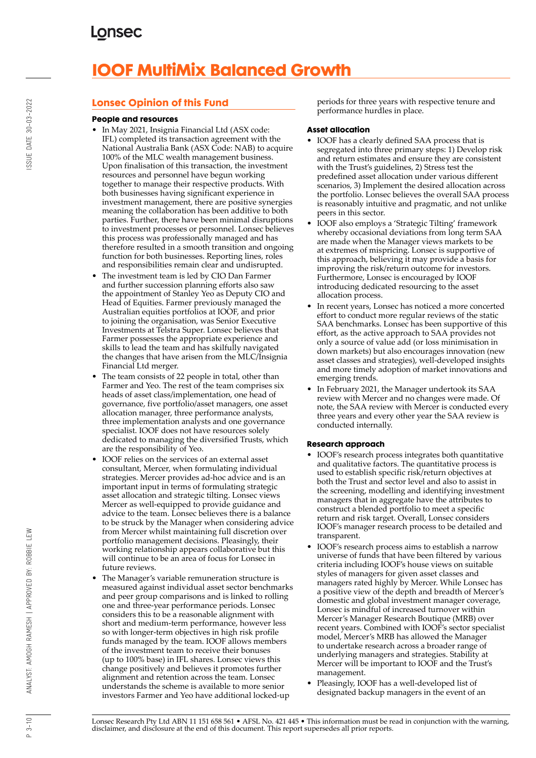# **IOOF MultiMix Balanced Growth**

## **Lonsec Opinion of this Fund**

#### **People and resources**

- In May 2021, Insignia Financial Ltd (ASX code: IFL) completed its transaction agreement with the National Australia Bank (ASX Code: NAB) to acquire 100% of the MLC wealth management business. Upon finalisation of this transaction, the investment resources and personnel have begun working together to manage their respective products. With both businesses having significant experience in investment management, there are positive synergies meaning the collaboration has been additive to both parties. Further, there have been minimal disruptions to investment processes or personnel. Lonsec believes this process was professionally managed and has therefore resulted in a smooth transition and ongoing function for both businesses. Reporting lines, roles and responsibilities remain clear and undisrupted.
- The investment team is led by CIO Dan Farmer and further succession planning efforts also saw the appointment of Stanley Yeo as Deputy CIO and Head of Equities. Farmer previously managed the Australian equities portfolios at IOOF, and prior to joining the organisation, was Senior Executive Investments at Telstra Super. Lonsec believes that Farmer possesses the appropriate experience and skills to lead the team and has skilfully navigated the changes that have arisen from the MLC/Insignia Financial Ltd merger.
- The team consists of 22 people in total, other than Farmer and Yeo. The rest of the team comprises six heads of asset class/implementation, one head of governance, five portfolio/asset managers, one asset allocation manager, three performance analysts, three implementation analysts and one governance specialist. IOOF does not have resources solely dedicated to managing the diversified Trusts, which are the responsibility of Yeo.
- IOOF relies on the services of an external asset consultant, Mercer, when formulating individual strategies. Mercer provides ad-hoc advice and is an important input in terms of formulating strategic asset allocation and strategic tilting. Lonsec views Mercer as well-equipped to provide guidance and advice to the team. Lonsec believes there is a balance to be struck by the Manager when considering advice from Mercer whilst maintaining full discretion over portfolio management decisions. Pleasingly, their working relationship appears collaborative but this will continue to be an area of focus for Lonsec in future reviews.
- The Manager's variable remuneration structure is measured against individual asset sector benchmarks and peer group comparisons and is linked to rolling one and three-year performance periods. Lonsec considers this to be a reasonable alignment with short and medium-term performance, however less so with longer-term objectives in high risk profile funds managed by the team. IOOF allows members of the investment team to receive their bonuses (up to 100% base) in IFL shares. Lonsec views this change positively and believes it promotes further alignment and retention across the team. Lonsec understands the scheme is available to more senior investors Farmer and Yeo have additional locked-up

periods for three years with respective tenure and performance hurdles in place.

#### **Asset allocation**

- IOOF has a clearly defined SAA process that is segregated into three primary steps: 1) Develop risk and return estimates and ensure they are consistent with the Trust's guidelines, 2) Stress test the predefined asset allocation under various different scenarios, 3) Implement the desired allocation across the portfolio. Lonsec believes the overall SAA process is reasonably intuitive and pragmatic, and not unlike peers in this sector.
- IOOF also employs a 'Strategic Tilting' framework whereby occasional deviations from long term SAA are made when the Manager views markets to be at extremes of mispricing. Lonsec is supportive of this approach, believing it may provide a basis for improving the risk/return outcome for investors. Furthermore, Lonsec is encouraged by IOOF introducing dedicated resourcing to the asset allocation process.
- In recent years, Lonsec has noticed a more concerted effort to conduct more regular reviews of the static SAA benchmarks. Lonsec has been supportive of this effort, as the active approach to SAA provides not only a source of value add (or loss minimisation in down markets) but also encourages innovation (new asset classes and strategies), well-developed insights and more timely adoption of market innovations and emerging trends.
- In February 2021, the Manager undertook its SAA review with Mercer and no changes were made. Of note, the SAA review with Mercer is conducted every three years and every other year the SAA review is conducted internally.

#### **Research approach**

- IOOF's research process integrates both quantitative and qualitative factors. The quantitative process is used to establish specific risk/return objectives at both the Trust and sector level and also to assist in the screening, modelling and identifying investment managers that in aggregate have the attributes to construct a blended portfolio to meet a specific return and risk target. Overall, Lonsec considers IOOF's manager research process to be detailed and transparent.
- IOOF's research process aims to establish a narrow universe of funds that have been filtered by various criteria including IOOF's house views on suitable styles of managers for given asset classes and managers rated highly by Mercer. While Lonsec has a positive view of the depth and breadth of Mercer's domestic and global investment manager coverage, Lonsec is mindful of increased turnover within Mercer's Manager Research Boutique (MRB) over recent years. Combined with IOOF's sector specialist model, Mercer's MRB has allowed the Manager to undertake research across a broader range of underlying managers and strategies. Stability at Mercer will be important to IOOF and the Trust's management.
- Pleasingly, IOOF has a well-developed list of designated backup managers in the event of an

 $P_3 - 10$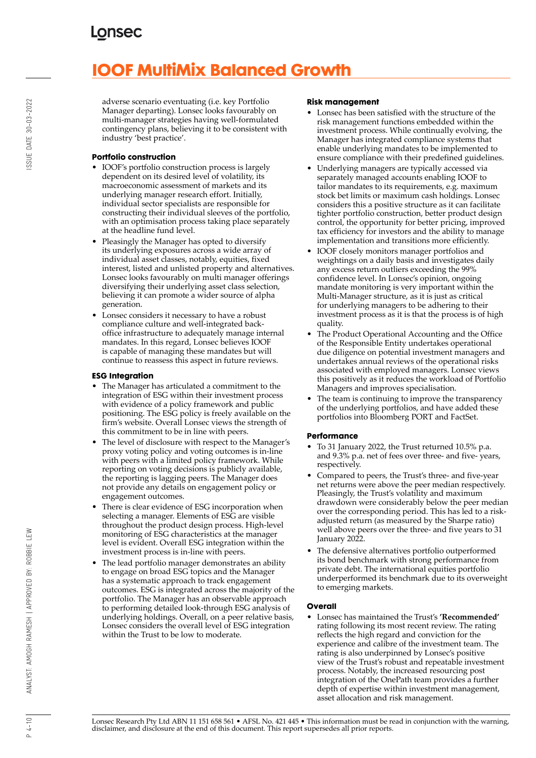# **IOOF MultiMix Balanced Growth**

adverse scenario eventuating (i.e. key Portfolio Manager departing). Lonsec looks favourably on multi-manager strategies having well-formulated contingency plans, believing it to be consistent with industry 'best practice'.

## **Portfolio construction**

- IOOF's portfolio construction process is largely dependent on its desired level of volatility, its macroeconomic assessment of markets and its underlying manager research effort. Initially, individual sector specialists are responsible for constructing their individual sleeves of the portfolio, with an optimisation process taking place separately at the headline fund level.
- Pleasingly the Manager has opted to diversify its underlying exposures across a wide array of individual asset classes, notably, equities, fixed interest, listed and unlisted property and alternatives. Lonsec looks favourably on multi manager offerings diversifying their underlying asset class selection, believing it can promote a wider source of alpha generation.
- Lonsec considers it necessary to have a robust compliance culture and well-integrated backoffice infrastructure to adequately manage internal mandates. In this regard, Lonsec believes IOOF is capable of managing these mandates but will continue to reassess this aspect in future reviews.

## **ESG Integration**

- The Manager has articulated a commitment to the integration of ESG within their investment process with evidence of a policy framework and public positioning. The ESG policy is freely available on the firm's website. Overall Lonsec views the strength of this commitment to be in line with peers.
- The level of disclosure with respect to the Manager's proxy voting policy and voting outcomes is in-line with peers with a limited policy framework. While reporting on voting decisions is publicly available, the reporting is lagging peers. The Manager does not provide any details on engagement policy or engagement outcomes.
- There is clear evidence of ESG incorporation when selecting a manager. Elements of ESG are visible throughout the product design process. High-level monitoring of ESG characteristics at the manager level is evident. Overall ESG integration within the investment process is in-line with peers.
- The lead portfolio manager demonstrates an ability to engage on broad ESG topics and the Manager has a systematic approach to track engagement outcomes. ESG is integrated across the majority of the portfolio. The Manager has an observable approach to performing detailed look-through ESG analysis of underlying holdings. Overall, on a peer relative basis, Lonsec considers the overall level of ESG integration within the Trust to be low to moderate.

#### **Risk management**

- Lonsec has been satisfied with the structure of the risk management functions embedded within the investment process. While continually evolving, the Manager has integrated compliance systems that enable underlying mandates to be implemented to ensure compliance with their predefined guidelines.
- Underlying managers are typically accessed via separately managed accounts enabling IOOF to tailor mandates to its requirements, e.g. maximum stock bet limits or maximum cash holdings. Lonsec considers this a positive structure as it can facilitate tighter portfolio construction, better product design control, the opportunity for better pricing, improved tax efficiency for investors and the ability to manage implementation and transitions more efficiently.
- IOOF closely monitors manager portfolios and weightings on a daily basis and investigates daily any excess return outliers exceeding the 99% confidence level. In Lonsec's opinion, ongoing mandate monitoring is very important within the Multi-Manager structure, as it is just as critical for underlying managers to be adhering to their investment process as it is that the process is of high quality.
- The Product Operational Accounting and the Office of the Responsible Entity undertakes operational due diligence on potential investment managers and undertakes annual reviews of the operational risks associated with employed managers. Lonsec views this positively as it reduces the workload of Portfolio Managers and improves specialisation.
- The team is continuing to improve the transparency of the underlying portfolios, and have added these portfolios into Bloomberg PORT and FactSet.

### **Performance**

- To 31 January 2022, the Trust returned 10.5% p.a. and 9.3% p.a. net of fees over three- and five- years, respectively.
- Compared to peers, the Trust's three- and five-year net returns were above the peer median respectively. Pleasingly, the Trust's volatility and maximum drawdown were considerably below the peer median over the corresponding period. This has led to a riskadjusted return (as measured by the Sharpe ratio) well above peers over the three- and five years to 31 January 2022.
- The defensive alternatives portfolio outperformed its bond benchmark with strong performance from private debt. The international equities portfolio underperformed its benchmark due to its overweight to emerging markets.

### **Overall**

• Lonsec has maintained the Trust's **'Recommended'** rating following its most recent review. The rating reflects the high regard and conviction for the experience and calibre of the investment team. The rating is also underpinned by Lonsec's positive view of the Trust's robust and repeatable investment process. Notably, the increased resourcing post integration of the OnePath team provides a further depth of expertise within investment management, asset allocation and risk management.

ANALYST: AMOGH RAMESH | APPROVED BY: ROBBIE LEW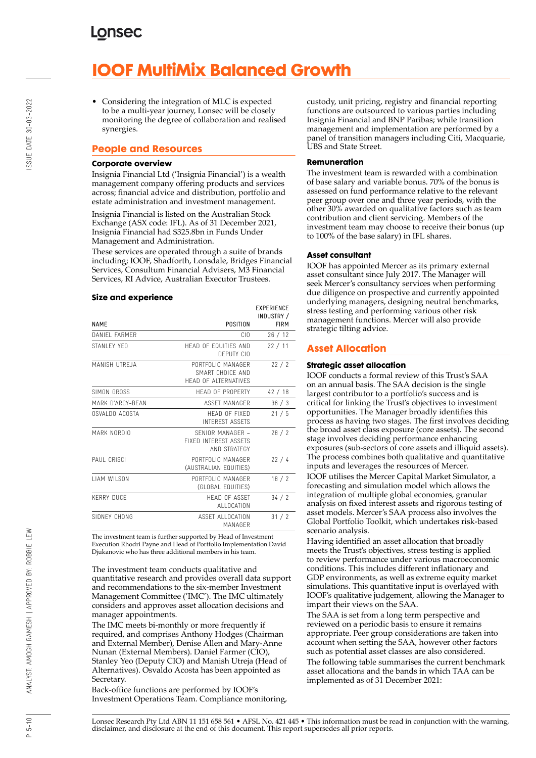# **IOOF MultiMix Balanced Growth**

• Considering the integration of MLC is expected to be a multi-year journey, Lonsec will be closely monitoring the degree of collaboration and realised synergies.

## **People and Resources**

#### **Corporate overview**

Insignia Financial Ltd ('Insignia Financial') is a wealth management company offering products and services across; financial advice and distribution, portfolio and estate administration and investment management.

Insignia Financial is listed on the Australian Stock Exchange (ASX code: IFL). As of 31 December 2021, Insignia Financial had \$325.8bn in Funds Under Management and Administration.

These services are operated through a suite of brands including; IOOF, Shadforth, Lonsdale, Bridges Financial Services, Consultum Financial Advisers, M3 Financial Services, RI Advice, Australian Executor Trustees.

#### **Size and experience**

|                     |                                                                  | LAI LINLINGL<br>INDUSTRY / |
|---------------------|------------------------------------------------------------------|----------------------------|
| <b>NAME</b>         | POSITION                                                         | <b>FIRM</b>                |
| DANIFI FARMER       | CIO                                                              | 26/12                      |
| STANI FY YFO        | HEAD OF FOUITIES AND<br>DEPUTY CIO                               | 22/11                      |
| MANISH UTREJA       | PORTFOLIO MANAGER<br>SMART CHOICE AND<br>HEAD OF ALTERNATIVES    | 22/2                       |
| SIMON GROSS         | <b>HFAD OF PROPERTY</b>                                          | 42/18                      |
| MARK D'ARCY-BEAN    | ASSFT MANAGER                                                    | 36/3                       |
| OSVALDO ACOSTA      | HFAD OF FIXED<br><b>INTEREST ASSETS</b>                          | 21/5                       |
| MARK NORDIO         | SENIOR MANAGER -<br><b>FIXED INTEREST ASSETS</b><br>AND STRATEGY | 28/2                       |
| PAUL CRISCI         | PORTFOLIO MANAGER<br>(AUSTRALIAN EQUITIES)                       | 22/4                       |
| <b>I IAM WILSON</b> | PORTFOLIO MANAGER<br>(GLOBAL EQUITIES)                           | 18/2                       |
| <b>KERRY DUCF</b>   | <b>HFAD OF ASSFT</b><br>ALLOCATION                               | 34/2                       |
| SIDNEY CHONG        | ASSET ALLOCATION<br>MANAGFR                                      | 31/2                       |

The investment team is further supported by Head of Investment Execution Rhodri Payne and Head of Portfolio Implementation David Djukanovic who has three additional members in his team.

The investment team conducts qualitative and quantitative research and provides overall data support and recommendations to the six-member Investment Management Committee ('IMC'). The IMC ultimately considers and approves asset allocation decisions and manager appointments.

The IMC meets bi-monthly or more frequently if required, and comprises Anthony Hodges (Chairman and External Member), Denise Allen and Mary-Anne Nunan (External Members). Daniel Farmer (CIO), Stanley Yeo (Deputy CIO) and Manish Utreja (Head of Alternatives). Osvaldo Acosta has been appointed as Secretary.

Back-office functions are performed by IOOF's Investment Operations Team. Compliance monitoring, custody, unit pricing, registry and financial reporting functions are outsourced to various parties including Insignia Financial and BNP Paribas; while transition management and implementation are performed by a panel of transition managers including Citi, Macquarie, UBS and State Street.

#### **Remuneration**

The investment team is rewarded with a combination of base salary and variable bonus. 70% of the bonus is assessed on fund performance relative to the relevant peer group over one and three year periods, with the other 30% awarded on qualitative factors such as team contribution and client servicing. Members of the investment team may choose to receive their bonus (up to 100% of the base salary) in IFL shares.

#### **Asset consultant**

**EVPERIENCE** 

IOOF has appointed Mercer as its primary external asset consultant since July 2017. The Manager will seek Mercer's consultancy services when performing due diligence on prospective and currently appointed underlying managers, designing neutral benchmarks, stress testing and performing various other risk management functions. Mercer will also provide strategic tilting advice.

### **Asset Allocation**

#### **Strategic asset allocation**

IOOF conducts a formal review of this Trust's SAA on an annual basis. The SAA decision is the single largest contributor to a portfolio's success and is critical for linking the Trust's objectives to investment opportunities. The Manager broadly identifies this process as having two stages. The first involves deciding the broad asset class exposure (core assets). The second stage involves deciding performance enhancing exposures (sub-sectors of core assets and illiquid assets). The process combines both qualitative and quantitative inputs and leverages the resources of Mercer.

IOOF utilises the Mercer Capital Market Simulator, a forecasting and simulation model which allows the integration of multiple global economies, granular analysis on fixed interest assets and rigorous testing of asset models. Mercer's SAA process also involves the Global Portfolio Toolkit, which undertakes risk-based scenario analysis.

Having identified an asset allocation that broadly meets the Trust's objectives, stress testing is applied to review performance under various macroeconomic conditions. This includes different inflationary and GDP environments, as well as extreme equity market simulations. This quantitative input is overlayed with IOOF's qualitative judgement, allowing the Manager to impart their views on the SAA.

The SAA is set from a long term perspective and reviewed on a periodic basis to ensure it remains appropriate. Peer group considerations are taken into account when setting the SAA, however other factors such as potential asset classes are also considered. The following table summarises the current benchmark asset allocations and the bands in which TAA can be implemented as of 31 December 2021:

Lonsec Research Pty Ltd ABN 11 151 658 561 • AFSL No. 421 445 • This information must be read in conjunction with the warning, disclaimer, and disclosure at the end of this document. This report supersedes all prior reports.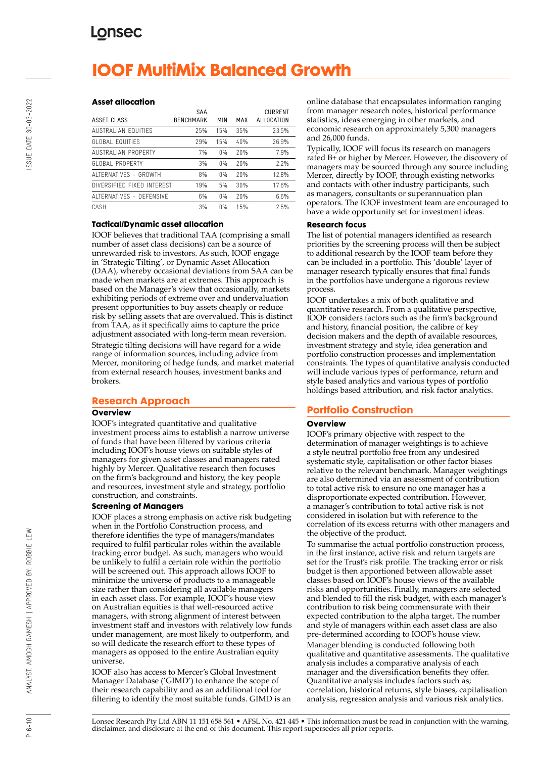# **IOOF MultiMix Balanced Growth**

#### **Asset allocation**

| ASSET CLASS                | SAA<br><b>BENCHMARK</b> | <b>MIN</b> | MAX | <b>CURRENT</b><br>ALLOCATION |
|----------------------------|-------------------------|------------|-----|------------------------------|
| AUSTRALIAN FOUITIFS        | 25%                     | 15%        | 35% | 23.5%                        |
| GLOBAL FOUITIES            | 29%                     | 15%        | 40% | 26.9%                        |
| <b>AUSTRALIAN PROPERTY</b> | 7%                      | $0\%$      | 20% | 7.9%                         |
| GLOBAL PROPERTY            | 3%                      | $0\%$      | 20% | 2.2%                         |
| ALTERNATIVES - GROWTH      | 8%                      | $0\%$      | 20% | 12.8%                        |
| DIVERSIFIED FIXED INTEREST | 19%                     | 5%         | 30% | 17.6%                        |
| ALTERNATIVES - DEFENSIVE   | 6%                      | $0\%$      | 20% | 6.6%                         |
| CASH                       | 3%                      | $0\%$      | 15% | 2.5%                         |

#### **Tactical/Dynamic asset allocation**

IOOF believes that traditional TAA (comprising a small number of asset class decisions) can be a source of unrewarded risk to investors. As such, IOOF engage in 'Strategic Tilting', or Dynamic Asset Allocation (DAA), whereby occasional deviations from SAA can be made when markets are at extremes. This approach is based on the Manager's view that occasionally, markets exhibiting periods of extreme over and undervaluation present opportunities to buy assets cheaply or reduce risk by selling assets that are overvalued. This is distinct from TAA, as it specifically aims to capture the price adjustment associated with long-term mean reversion. Strategic tilting decisions will have regard for a wide range of information sources, including advice from Mercer, monitoring of hedge funds, and market material from external research houses, investment banks and brokers.

## **Research Approach**

#### **Overview**

IOOF's integrated quantitative and qualitative investment process aims to establish a narrow universe of funds that have been filtered by various criteria including IOOF's house views on suitable styles of managers for given asset classes and managers rated highly by Mercer. Qualitative research then focuses on the firm's background and history, the key people and resources, investment style and strategy, portfolio construction, and constraints.

### **Screening of Managers**

IOOF places a strong emphasis on active risk budgeting when in the Portfolio Construction process, and therefore identifies the type of managers/mandates required to fulfil particular roles within the available tracking error budget. As such, managers who would be unlikely to fulfil a certain role within the portfolio will be screened out. This approach allows IOOF to minimize the universe of products to a manageable size rather than considering all available managers in each asset class. For example, IOOF's house view on Australian equities is that well-resourced active managers, with strong alignment of interest between investment staff and investors with relatively low funds under management, are most likely to outperform, and so will dedicate the research effort to these types of managers as opposed to the entire Australian equity universe.

IOOF also has access to Mercer's Global Investment Manager Database ('GIMD') to enhance the scope of their research capability and as an additional tool for filtering to identify the most suitable funds. GIMD is an online database that encapsulates information ranging from manager research notes, historical performance statistics, ideas emerging in other markets, and economic research on approximately 5,300 managers and 26,000 funds.

Typically, IOOF will focus its research on managers rated B+ or higher by Mercer. However, the discovery of managers may be sourced through any source including Mercer, directly by IOOF, through existing networks and contacts with other industry participants, such as managers, consultants or superannuation plan operators. The IOOF investment team are encouraged to have a wide opportunity set for investment ideas.

#### **Research focus**

The list of potential managers identified as research priorities by the screening process will then be subject to additional research by the IOOF team before they can be included in a portfolio. This 'double' layer of manager research typically ensures that final funds in the portfolios have undergone a rigorous review process.

IOOF undertakes a mix of both qualitative and quantitative research. From a qualitative perspective, IOOF considers factors such as the firm's background and history, financial position, the calibre of key decision makers and the depth of available resources, investment strategy and style, idea generation and portfolio construction processes and implementation constraints. The types of quantitative analysis conducted will include various types of performance, return and style based analytics and various types of portfolio holdings based attribution, and risk factor analytics.

## **Portfolio Construction**

#### **Overview**

IOOF's primary objective with respect to the determination of manager weightings is to achieve a style neutral portfolio free from any undesired systematic style, capitalisation or other factor biases relative to the relevant benchmark. Manager weightings are also determined via an assessment of contribution to total active risk to ensure no one manager has a disproportionate expected contribution. However, a manager's contribution to total active risk is not considered in isolation but with reference to the correlation of its excess returns with other managers and the objective of the product.

To summarise the actual portfolio construction process, in the first instance, active risk and return targets are set for the Trust's risk profile. The tracking error or risk budget is then apportioned between allowable asset classes based on IOOF's house views of the available risks and opportunities. Finally, managers are selected and blended to fill the risk budget, with each manager's contribution to risk being commensurate with their expected contribution to the alpha target. The number and style of managers within each asset class are also pre-determined according to IOOF's house view. Manager blending is conducted following both qualitative and quantitative assessments. The qualitative analysis includes a comparative analysis of each manager and the diversification benefits they offer. Quantitative analysis includes factors such as; correlation, historical returns, style biases, capitalisation analysis, regression analysis and various risk analytics.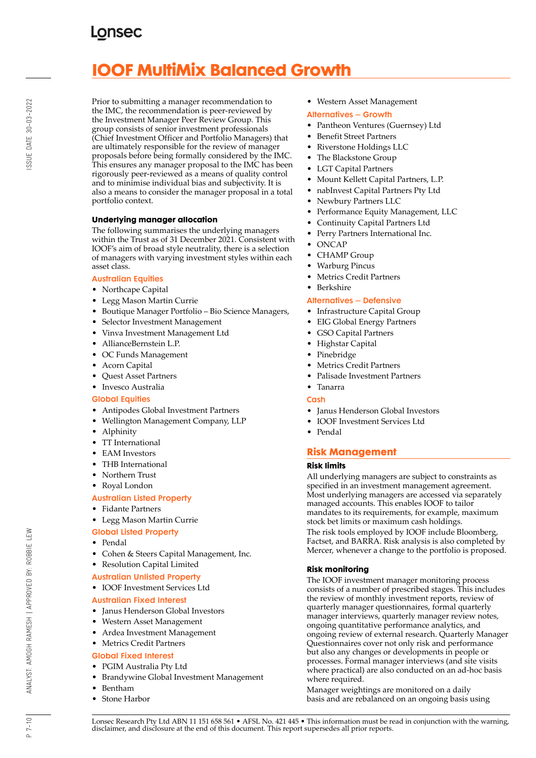# **IOOF MultiMix Balanced Growth**

Prior to submitting a manager recommendation to the IMC, the recommendation is peer-reviewed by the Investment Manager Peer Review Group. This group consists of senior investment professionals (Chief Investment Officer and Portfolio Managers) that are ultimately responsible for the review of manager proposals before being formally considered by the IMC. This ensures any manager proposal to the IMC has been rigorously peer-reviewed as a means of quality control and to minimise individual bias and subjectivity. It is also a means to consider the manager proposal in a total portfolio context.

### **Underlying manager allocation**

The following summarises the underlying managers within the Trust as of 31 December 2021. Consistent with IOOF's aim of broad style neutrality, there is a selection of managers with varying investment styles within each asset class.

### Australian Equities

- Northcape Capital
- Legg Mason Martin Currie
- Boutique Manager Portfolio Bio Science Managers,
- Selector Investment Management
- Vinva Investment Management Ltd
- AllianceBernstein L.P.
- OC Funds Management
- Acorn Capital
- Quest Asset Partners
- Invesco Australia

#### Global Equities

- Antipodes Global Investment Partners
- Wellington Management Company, LLP
- Alphinity
- TT International
- EAM Investors
- THB International
- Northern Trust
- Royal London

### Australian Listed Property

- Fidante Partners
- Legg Mason Martin Currie
- Global Listed Property
- Pendal
- Cohen & Steers Capital Management, Inc.
- Resolution Capital Limited

#### Australian Unlisted Property

• IOOF Investment Services Ltd

#### Australian Fixed Interest

- Janus Henderson Global Investors
- Western Asset Management
- Ardea Investment Management
- Metrics Credit Partners

## Global Fixed Interest

- PGIM Australia Pty Ltd
- Brandywine Global Investment Management
- Bentham
- Stone Harbor

• Western Asset Management

#### Alternatives – Growth

- Pantheon Ventures (Guernsey) Ltd
- Benefit Street Partners
- Riverstone Holdings LLC
- The Blackstone Group
- LGT Capital Partners
- Mount Kellett Capital Partners, L.P.
- nabInvest Capital Partners Pty Ltd
- Newbury Partners LLC
- Performance Equity Management, LLC
- Continuity Capital Partners Ltd
- Perry Partners International Inc.
- ONCAP
- CHAMP Group
- Warburg Pincus
- Metrics Credit Partners
- Berkshire

#### Alternatives – Defensive

- Infrastructure Capital Group
- EIG Global Energy Partners
- GSO Capital Partners
- Highstar Capital
- Pinebridge
- Metrics Credit Partners
- Palisade Investment Partners
- Tanarra
- **Cash**
- Janus Henderson Global Investors
- IOOF Investment Services Ltd
- Pendal

## **Risk Management**

#### **Risk limits**

All underlying managers are subject to constraints as specified in an investment management agreement. Most underlying managers are accessed via separately managed accounts. This enables IOOF to tailor mandates to its requirements, for example, maximum stock bet limits or maximum cash holdings. The risk tools employed by IOOF include Bloomberg, Factset, and BARRA. Risk analysis is also completed by Mercer, whenever a change to the portfolio is proposed.

#### **Risk monitoring**

The IOOF investment manager monitoring process consists of a number of prescribed stages. This includes the review of monthly investment reports, review of quarterly manager questionnaires, formal quarterly manager interviews, quarterly manager review notes, ongoing quantitative performance analytics, and ongoing review of external research. Quarterly Manager Questionnaires cover not only risk and performance but also any changes or developments in people or processes. Formal manager interviews (and site visits where practical) are also conducted on an ad-hoc basis where required.

Manager weightings are monitored on a daily basis and are rebalanced on an ongoing basis using

ANALYST: AMOGH RAMESH | APPROVED BY: ROBBIE LEW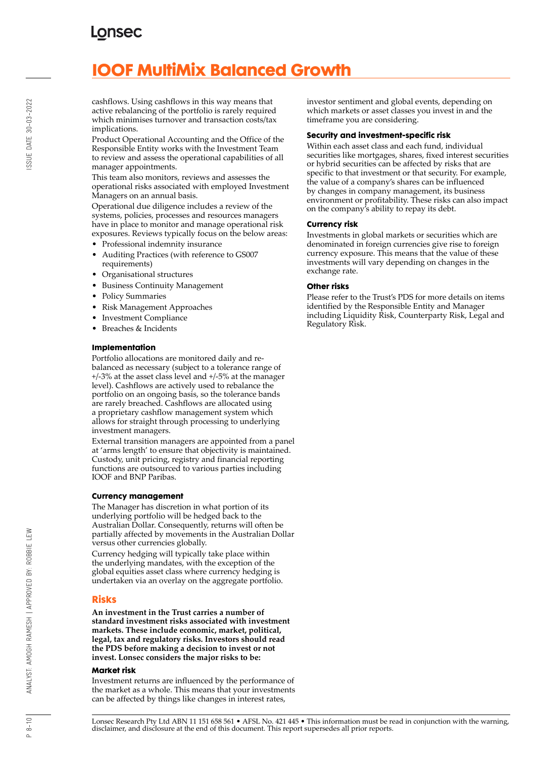# **IOOF MultiMix Balanced Growth**

cashflows. Using cashflows in this way means that active rebalancing of the portfolio is rarely required which minimises turnover and transaction costs/tax implications.

Product Operational Accounting and the Office of the Responsible Entity works with the Investment Team to review and assess the operational capabilities of all manager appointments.

This team also monitors, reviews and assesses the operational risks associated with employed Investment Managers on an annual basis.

Operational due diligence includes a review of the systems, policies, processes and resources managers have in place to monitor and manage operational risk exposures. Reviews typically focus on the below areas:

- Professional indemnity insurance
- Auditing Practices (with reference to GS007 requirements)
- Organisational structures
- Business Continuity Management
- Policy Summaries
- Risk Management Approaches
- Investment Compliance
- Breaches & Incidents

#### **Implementation**

Portfolio allocations are monitored daily and rebalanced as necessary (subject to a tolerance range of +/-3% at the asset class level and +/-5% at the manager level). Cashflows are actively used to rebalance the portfolio on an ongoing basis, so the tolerance bands are rarely breached. Cashflows are allocated using a proprietary cashflow management system which allows for straight through processing to underlying investment managers.

External transition managers are appointed from a panel at 'arms length' to ensure that objectivity is maintained. Custody, unit pricing, registry and financial reporting functions are outsourced to various parties including IOOF and BNP Paribas.

#### **Currency management**

The Manager has discretion in what portion of its underlying portfolio will be hedged back to the Australian Dollar. Consequently, returns will often be partially affected by movements in the Australian Dollar versus other currencies globally.

Currency hedging will typically take place within the underlying mandates, with the exception of the global equities asset class where currency hedging is undertaken via an overlay on the aggregate portfolio.

### **Risks**

**An investment in the Trust carries a number of standard investment risks associated with investment markets. These include economic, market, political, legal, tax and regulatory risks. Investors should read the PDS before making a decision to invest or not invest. Lonsec considers the major risks to be:**

#### **Market risk**

Investment returns are influenced by the performance of the market as a whole. This means that your investments can be affected by things like changes in interest rates,

investor sentiment and global events, depending on which markets or asset classes you invest in and the timeframe you are considering.

#### **Security and investment-specific risk**

Within each asset class and each fund, individual securities like mortgages, shares, fixed interest securities or hybrid securities can be affected by risks that are specific to that investment or that security. For example, the value of a company's shares can be influenced by changes in company management, its business environment or profitability. These risks can also impact on the company's ability to repay its debt.

#### **Currency risk**

Investments in global markets or securities which are denominated in foreign currencies give rise to foreign currency exposure. This means that the value of these investments will vary depending on changes in the exchange rate.

#### **Other risks**

Please refer to the Trust's PDS for more details on items identified by the Responsible Entity and Manager including Liquidity Risk, Counterparty Risk, Legal and Regulatory Risk.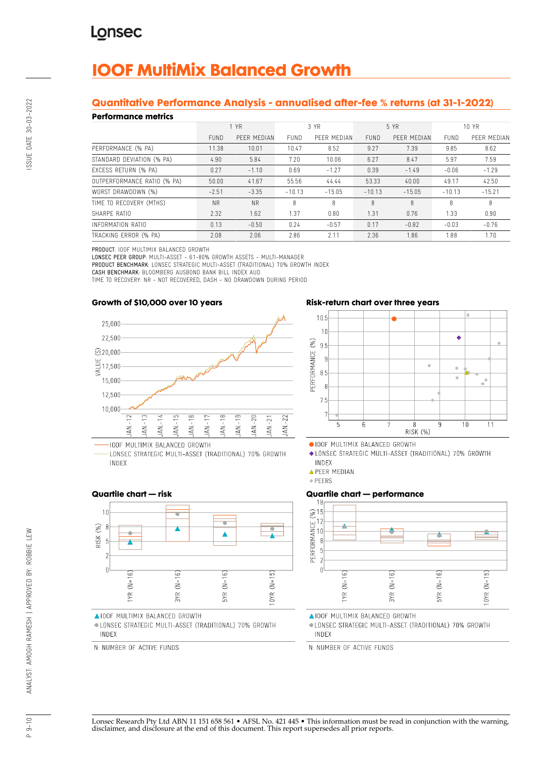# **IOOF MultiMix Balanced Growth**

## **Quantitative Performance Analysis - annualised after-fee % returns (at 31-1-2022)**

#### **Performance metrics**

| геноннансе піспісэ          |             |             |             |             |             |             |             |             |
|-----------------------------|-------------|-------------|-------------|-------------|-------------|-------------|-------------|-------------|
|                             | 1 YR        |             | 3 YR        |             | 5 YR        |             | 10 YR       |             |
|                             | <b>FUND</b> | PEER MEDIAN | <b>FUND</b> | PEER MEDIAN | <b>FUND</b> | PEER MEDIAN | <b>FUND</b> | PEER MEDIAN |
| PERFORMANCE (% PA)          | 11.38       | 10.01       | 10.47       | 8.52        | 9.27        | 7.39        | 9.85        | 8.62        |
| STANDARD DEVIATION (% PA)   | 4.90        | 5.84        | 7.20        | 10.06       | 6.27        | 8.47        | 5.97        | 7.59        |
| EXCESS RETURN (% PA)        | 0.27        | $-1.10$     | 0.69        | $-1.27$     | 0.39        | $-1.49$     | $-0.06$     | $-1.29$     |
| OUTPERFORMANCE RATIO (% PA) | 50.00       | 41.67       | 55.56       | 44.44       | 53.33       | 40.00       | 49.17       | 42.50       |
| WORST DRAWDOWN (%)          | $-2.51$     | $-3.35$     | $-10.13$    | $-15.05$    | $-10.13$    | $-15.05$    | $-10.13$    | $-15.21$    |
| TIME TO RECOVERY (MTHS)     | <b>NR</b>   | <b>NR</b>   | 8           | 8           | 8           | 8           | 8           | 8           |
| SHARPE RATIO                | 2.32        | 1.62        | 1.37        | 0.80        | 1.31        | 0.76        | 1.33        | 0.90        |
| INFORMATION RATIO           | 0.13        | $-0.50$     | 0.24        | $-0.57$     | 0.17        | $-0.82$     | $-0.03$     | $-0.76$     |
| TRACKING ERROR (% PA)       | 2.08        | 2.06        | 2.86        | 2.11        | 2.36        | 1.86        | 1.88        | 1.70        |

PRODUCT: IOOF MULTIMIX BALANCED GROWTH

LONSEC PEER GROUP: MULTI-ASSET - 61-80% GROWTH ASSETS - MULTI-MANAGER

PRODUCT BENCHMARK: LONSEC STRATEGIC MULTI-ASSET (TRADITIONAL) 70% GROWTH INDEX

CASH BENCHMARK: BLOOMBERG AUSBOND BANK BILL INDEX AUD TIME TO RECOVERY: NR - NOT RECOVERED, DASH - NO DRAWDOWN DURING PERIOD

## **Growth of \$10,000 over 10 years**



LONSEC STRATEGIC MULTI-ASSET (TRADITIONAL) 70% GROWTH INDEX

## **Risk-return chart over three years**



OIOOF MULTIMIX BALANCED GROWTH

◆ LONSEC STRATEGIC MULTI-ASSET (TRADITIONAL) 70% GROWTH INDEX

**APEER MEDIAN** 

· PEERS

## **Quartile chart — performance**



**AIOOF MULTIMIX BALANCED GROWTH** 

· LONSEC STRATEGIC MULTI-ASSET (TRADITIONAL) 70% GROWTH INDEX

N: NUMBER OF ACTIVE FUNDS

### **Quartile chart — risk**



AIOOF MULTIMIX BALANCED GROWTH

· LONSEC STRATEGIC MULTI-ASSET (TRADITIONAL) 70% GROWTH INDEX

N: NUMBER OF ACTIVE FUNDS

ANALYST: AMOGH RAMESH | APPROVED BY: ROBBIE LEW